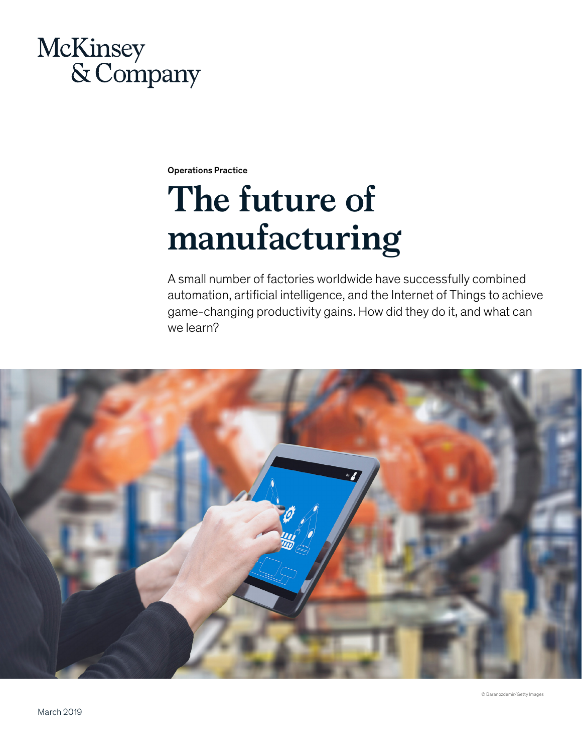## McKinsey & Company

Operations Practice

# **The future of manufacturing**

A small number of factories worldwide have successfully combined automation, artificial intelligence, and the Internet of Things to achieve game-changing productivity gains. How did they do it, and what can we learn?



© Baranozdemir/Getty Images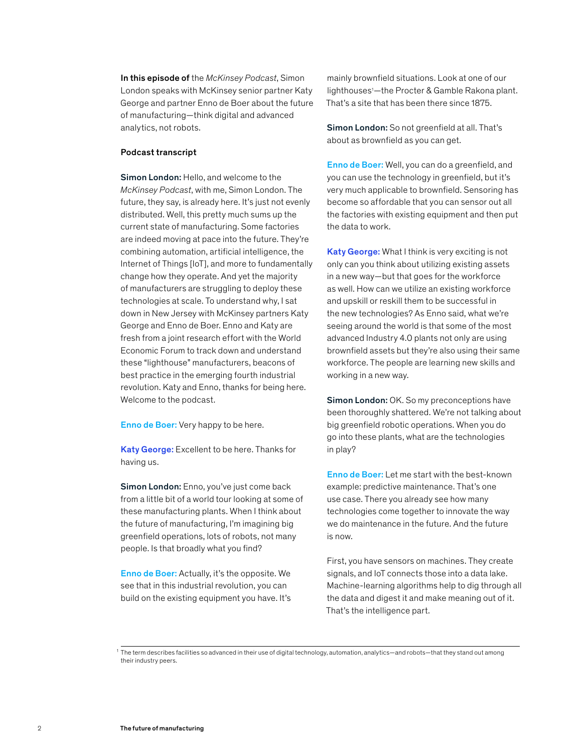In this episode of the *McKinsey Podcast*, Simon London speaks with McKinsey senior partner Katy George and partner Enno de Boer about the future of manufacturing—think digital and advanced analytics, not robots.

### Podcast transcript

Simon London: Hello, and welcome to the *McKinsey Podcast*, with me, Simon London. The future, they say, is already here. It's just not evenly distributed. Well, this pretty much sums up the current state of manufacturing. Some factories are indeed moving at pace into the future. They're combining automation, artificial intelligence, the Internet of Things [IoT], and more to fundamentally change how they operate. And yet the majority of manufacturers are struggling to deploy these technologies at scale. To understand why, I sat down in New Jersey with McKinsey partners Katy George and Enno de Boer. Enno and Katy are fresh from a joint research effort with the World Economic Forum to track down and understand these "lighthouse" manufacturers, beacons of best practice in the emerging fourth industrial revolution. Katy and Enno, thanks for being here. Welcome to the podcast.

Enno de Boer: Very happy to be here.

Katy George: Excellent to be here. Thanks for having us.

Simon London: Enno, you've just come back from a little bit of a world tour looking at some of these manufacturing plants. When I think about the future of manufacturing, I'm imagining big greenfield operations, lots of robots, not many people. Is that broadly what you find?

Enno de Boer: Actually, it's the opposite. We see that in this industrial revolution, you can build on the existing equipment you have. It's

mainly brownfield situations. Look at one of our lighthouses1 —the Procter & Gamble Rakona plant. That's a site that has been there since 1875.

Simon London: So not greenfield at all. That's about as brownfield as you can get.

Enno de Boer: Well, you can do a greenfield, and you can use the technology in greenfield, but it's very much applicable to brownfield. Sensoring has become so affordable that you can sensor out all the factories with existing equipment and then put the data to work.

Katy George: What I think is very exciting is not only can you think about utilizing existing assets in a new way—but that goes for the workforce as well. How can we utilize an existing workforce and upskill or reskill them to be successful in the new technologies? As Enno said, what we're seeing around the world is that some of the most advanced Industry 4.0 plants not only are using brownfield assets but they're also using their same workforce. The people are learning new skills and working in a new way.

Simon London: OK. So my preconceptions have been thoroughly shattered. We're not talking about big greenfield robotic operations. When you do go into these plants, what are the technologies in play?

Enno de Boer: Let me start with the best-known example: predictive maintenance. That's one use case. There you already see how many technologies come together to innovate the way we do maintenance in the future. And the future is now.

First, you have sensors on machines. They create signals, and IoT connects those into a data lake. Machine-learning algorithms help to dig through all the data and digest it and make meaning out of it. That's the intelligence part.

<sup>1</sup> The term describes facilities so advanced in their use of digital technology, automation, analytics—and robots—that they stand out among their industry peers.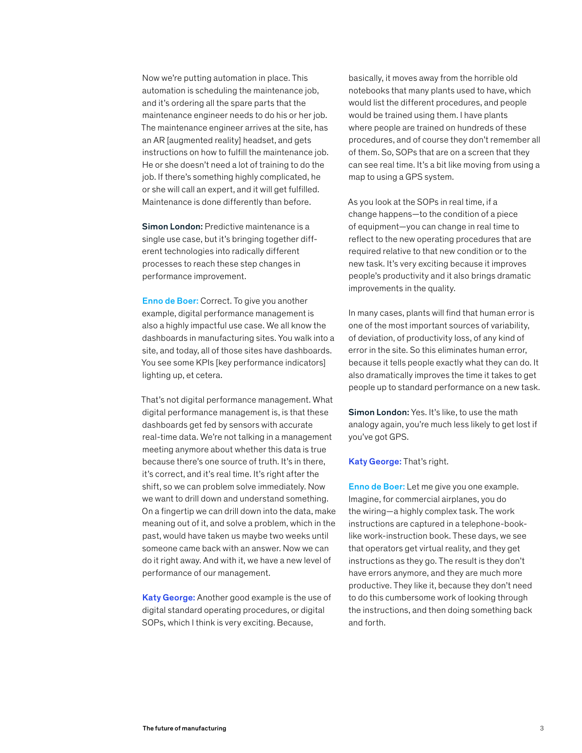Now we're putting automation in place. This automation is scheduling the maintenance job, and it's ordering all the spare parts that the maintenance engineer needs to do his or her job. The maintenance engineer arrives at the site, has an AR [augmented reality] headset, and gets instructions on how to fulfill the maintenance job. He or she doesn't need a lot of training to do the job. If there's something highly complicated, he or she will call an expert, and it will get fulfilled. Maintenance is done differently than before.

Simon London: Predictive maintenance is a single use case, but it's bringing together different technologies into radically different processes to reach these step changes in performance improvement.

Enno de Boer: Correct. To give you another example, digital performance management is also a highly impactful use case. We all know the dashboards in manufacturing sites. You walk into a site, and today, all of those sites have dashboards. You see some KPIs [key performance indicators] lighting up, et cetera.

That's not digital performance management. What digital performance management is, is that these dashboards get fed by sensors with accurate real-time data. We're not talking in a management meeting anymore about whether this data is true because there's one source of truth. It's in there, it's correct, and it's real time. It's right after the shift, so we can problem solve immediately. Now we want to drill down and understand something. On a fingertip we can drill down into the data, make meaning out of it, and solve a problem, which in the past, would have taken us maybe two weeks until someone came back with an answer. Now we can do it right away. And with it, we have a new level of performance of our management.

Katy George: Another good example is the use of digital standard operating procedures, or digital SOPs, which I think is very exciting. Because,

basically, it moves away from the horrible old notebooks that many plants used to have, which would list the different procedures, and people would be trained using them. I have plants where people are trained on hundreds of these procedures, and of course they don't remember all of them. So, SOPs that are on a screen that they can see real time. It's a bit like moving from using a map to using a GPS system.

As you look at the SOPs in real time, if a change happens—to the condition of a piece of equipment—you can change in real time to reflect to the new operating procedures that are required relative to that new condition or to the new task. It's very exciting because it improves people's productivity and it also brings dramatic improvements in the quality.

In many cases, plants will find that human error is one of the most important sources of variability, of deviation, of productivity loss, of any kind of error in the site. So this eliminates human error, because it tells people exactly what they can do. It also dramatically improves the time it takes to get people up to standard performance on a new task.

Simon London: Yes. It's like, to use the math analogy again, you're much less likely to get lost if you've got GPS.

### Katy George: That's right.

Enno de Boer: Let me give you one example. Imagine, for commercial airplanes, you do the wiring—a highly complex task. The work instructions are captured in a telephone-booklike work-instruction book. These days, we see that operators get virtual reality, and they get instructions as they go. The result is they don't have errors anymore, and they are much more productive. They like it, because they don't need to do this cumbersome work of looking through the instructions, and then doing something back and forth.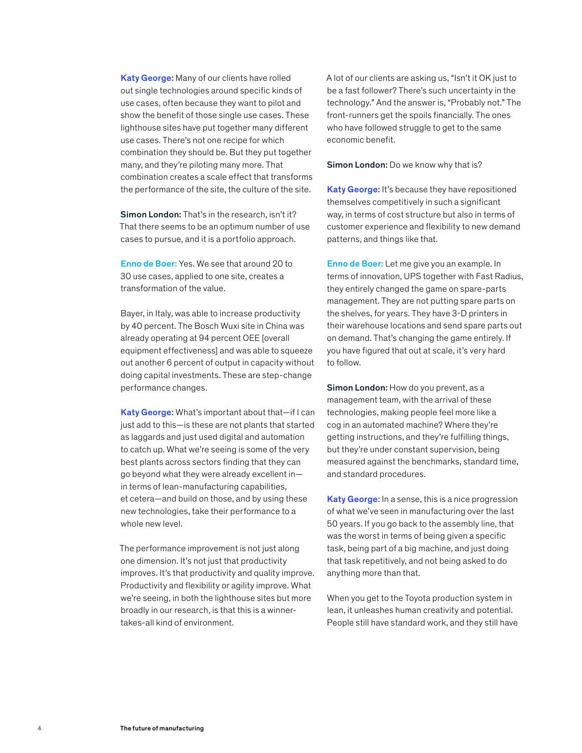Katy George: Many of our clients have rolled out single technologies around specific kinds of use cases, often because they want to pilot and show the benefit of those single use cases. These lighthouse sites have put together many different use cases. There's not one recipe for which combination they should be. But they put together many, and they're piloting many more. That combination creates a scale effect that transforms the performance of the site, the culture of the site.

Simon London: That's in the research, isn't it? That there seems to be an optimum number of use cases to pursue, and it is a portfolio approach.

Enno de Boer: Yes. We see that around 20 to 30 use cases, applied to one site, creates a transformation of the value.

Bayer, in Italy, was able to increase productivity by 40 percent. The Bosch Wuxi site in China was already operating at 94 percent OEE [overall equipment effectiveness] and was able to squeeze out another 6 percent of output in capacity without doing capital investments. These are step-change performance changes.

Katy George: What's important about that—if I can just add to this—is these are not plants that started as laggards and just used digital and automation to catch up. What we're seeing is some of the very best plants across sectors finding that they can go beyond what they were already excellent in in terms of lean-manufacturing capabilities, et cetera—and build on those, and by using these new technologies, take their performance to a whole new level.

The performance improvement is not just along one dimension. It's not just that productivity improves. It's that productivity and quality improve. Productivity and flexibility or agility improve. What we're seeing, in both the lighthouse sites but more broadly in our research, is that this is a winnertakes-all kind of environment.

A lot of our clients are asking us, "Isn't it OK just to be a fast follower? There's such uncertainty in the technology." And the answer is, "Probably not." The front-runners get the spoils financially. The ones who have followed struggle to get to the same economic benefit.

Simon London: Do we know why that is?

Katy George: It's because they have repositioned themselves competitively in such a significant way, in terms of cost structure but also in terms of customer experience and flexibility to new demand patterns, and things like that.

Enno de Boer: Let me give you an example. In terms of innovation, UPS together with Fast Radius, they entirely changed the game on spare-parts management. They are not putting spare parts on the shelves, for years. They have 3-D printers in their warehouse locations and send spare parts out on demand. That's changing the game entirely. If you have figured that out at scale, it's very hard to follow.

Simon London: How do you prevent, as a management team, with the arrival of these technologies, making people feel more like a cog in an automated machine? Where they're getting instructions, and they're fulfilling things, but they're under constant supervision, being measured against the benchmarks, standard time, and standard procedures.

Katy George: In a sense, this is a nice progression of what we've seen in manufacturing over the last 50 years. If you go back to the assembly line, that was the worst in terms of being given a specific task, being part of a big machine, and just doing that task repetitively, and not being asked to do anything more than that.

When you get to the Toyota production system in lean, it unleashes human creativity and potential. People still have standard work, and they still have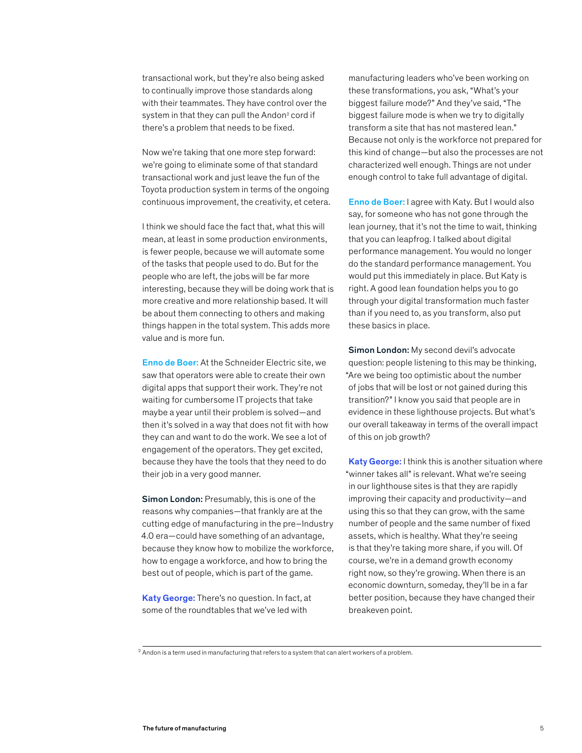transactional work, but they're also being asked to continually improve those standards along with their teammates. They have control over the system in that they can pull the Andon<sup>2</sup> cord if there's a problem that needs to be fixed.

Now we're taking that one more step forward: we're going to eliminate some of that standard transactional work and just leave the fun of the Toyota production system in terms of the ongoing continuous improvement, the creativity, et cetera.

I think we should face the fact that, what this will mean, at least in some production environments, is fewer people, because we will automate some of the tasks that people used to do. But for the people who are left, the jobs will be far more interesting, because they will be doing work that is more creative and more relationship based. It will be about them connecting to others and making things happen in the total system. This adds more value and is more fun.

Enno de Boer: At the Schneider Electric site, we saw that operators were able to create their own digital apps that support their work. They're not waiting for cumbersome IT projects that take maybe a year until their problem is solved—and then it's solved in a way that does not fit with how they can and want to do the work. We see a lot of engagement of the operators. They get excited, because they have the tools that they need to do their job in a very good manner.

Simon London: Presumably, this is one of the reasons why companies—that frankly are at the cutting edge of manufacturing in the pre–Industry 4.0 era—could have something of an advantage, because they know how to mobilize the workforce, how to engage a workforce, and how to bring the best out of people, which is part of the game.

Katy George: There's no question. In fact, at some of the roundtables that we've led with

manufacturing leaders who've been working on these transformations, you ask, "What's your biggest failure mode?" And they've said, "The biggest failure mode is when we try to digitally transform a site that has not mastered lean." Because not only is the workforce not prepared for this kind of change—but also the processes are not characterized well enough. Things are not under enough control to take full advantage of digital.

Enno de Boer: I agree with Katy. But I would also say, for someone who has not gone through the lean journey, that it's not the time to wait, thinking that you can leapfrog. I talked about digital performance management. You would no longer do the standard performance management. You would put this immediately in place. But Katy is right. A good lean foundation helps you to go through your digital transformation much faster than if you need to, as you transform, also put these basics in place.

Simon London: My second devil's advocate question: people listening to this may be thinking, "Are we being too optimistic about the number of jobs that will be lost or not gained during this transition?" I know you said that people are in evidence in these lighthouse projects. But what's our overall takeaway in terms of the overall impact of this on job growth?

Katy George: I think this is another situation where "winner takes all" is relevant. What we're seeing in our lighthouse sites is that they are rapidly improving their capacity and productivity—and using this so that they can grow, with the same number of people and the same number of fixed assets, which is healthy. What they're seeing is that they're taking more share, if you will. Of course, we're in a demand growth economy right now, so they're growing. When there is an economic downturn, someday, they'll be in a far better position, because they have changed their breakeven point.

 $2$  Andon is a term used in manufacturing that refers to a system that can alert workers of a problem.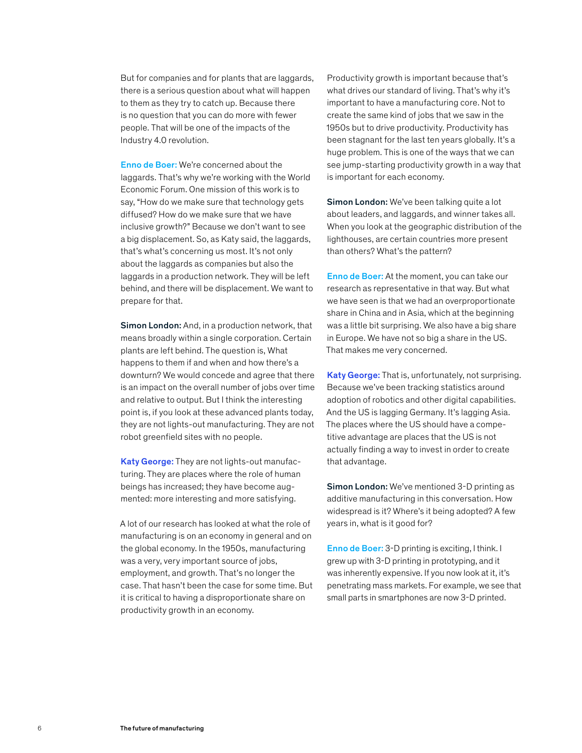But for companies and for plants that are laggards, there is a serious question about what will happen to them as they try to catch up. Because there is no question that you can do more with fewer people. That will be one of the impacts of the Industry 4.0 revolution.

Enno de Boer: We're concerned about the laggards. That's why we're working with the World Economic Forum. One mission of this work is to say, "How do we make sure that technology gets diffused? How do we make sure that we have inclusive growth?" Because we don't want to see a big displacement. So, as Katy said, the laggards, that's what's concerning us most. It's not only about the laggards as companies but also the laggards in a production network. They will be left behind, and there will be displacement. We want to prepare for that.

Simon London: And, in a production network, that means broadly within a single corporation. Certain plants are left behind. The question is, What happens to them if and when and how there's a downturn? We would concede and agree that there is an impact on the overall number of jobs over time and relative to output. But I think the interesting point is, if you look at these advanced plants today, they are not lights-out manufacturing. They are not robot greenfield sites with no people.

Katy George: They are not lights-out manufacturing. They are places where the role of human beings has increased; they have become augmented: more interesting and more satisfying.

A lot of our research has looked at what the role of manufacturing is on an economy in general and on the global economy. In the 1950s, manufacturing was a very, very important source of jobs, employment, and growth. That's no longer the case. That hasn't been the case for some time. But it is critical to having a disproportionate share on productivity growth in an economy.

Productivity growth is important because that's what drives our standard of living. That's why it's important to have a manufacturing core. Not to create the same kind of jobs that we saw in the 1950s but to drive productivity. Productivity has been stagnant for the last ten years globally. It's a huge problem. This is one of the ways that we can see jump-starting productivity growth in a way that is important for each economy.

Simon London: We've been talking quite a lot about leaders, and laggards, and winner takes all. When you look at the geographic distribution of the lighthouses, are certain countries more present than others? What's the pattern?

Enno de Boer: At the moment, you can take our research as representative in that way. But what we have seen is that we had an overproportionate share in China and in Asia, which at the beginning was a little bit surprising. We also have a big share in Europe. We have not so big a share in the US. That makes me very concerned.

Katy George: That is, unfortunately, not surprising. Because we've been tracking statistics around adoption of robotics and other digital capabilities. And the US is lagging Germany. It's lagging Asia. The places where the US should have a competitive advantage are places that the US is not actually finding a way to invest in order to create that advantage.

Simon London: We've mentioned 3-D printing as additive manufacturing in this conversation. How widespread is it? Where's it being adopted? A few years in, what is it good for?

Enno de Boer: 3-D printing is exciting, I think. I grew up with 3-D printing in prototyping, and it was inherently expensive. If you now look at it, it's penetrating mass markets. For example, we see that small parts in smartphones are now 3-D printed.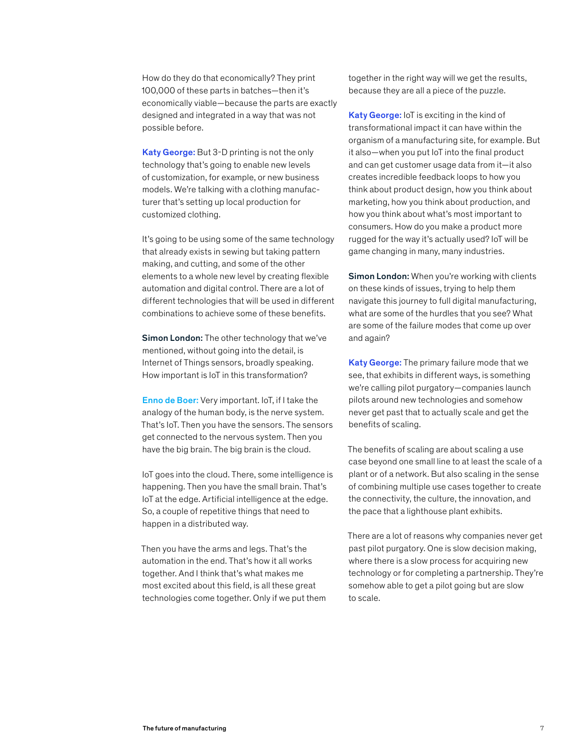How do they do that economically? They print 100,000 of these parts in batches—then it's economically viable—because the parts are exactly designed and integrated in a way that was not possible before.

Katy George: But 3-D printing is not the only technology that's going to enable new levels of customization, for example, or new business models. We're talking with a clothing manufacturer that's setting up local production for customized clothing.

It's going to be using some of the same technology that already exists in sewing but taking pattern making, and cutting, and some of the other elements to a whole new level by creating flexible automation and digital control. There are a lot of different technologies that will be used in different combinations to achieve some of these benefits.

Simon London: The other technology that we've mentioned, without going into the detail, is Internet of Things sensors, broadly speaking. How important is IoT in this transformation?

Enno de Boer: Very important. IoT, if I take the analogy of the human body, is the nerve system. That's IoT. Then you have the sensors. The sensors get connected to the nervous system. Then you have the big brain. The big brain is the cloud.

IoT goes into the cloud. There, some intelligence is happening. Then you have the small brain. That's IoT at the edge. Artificial intelligence at the edge. So, a couple of repetitive things that need to happen in a distributed way.

Then you have the arms and legs. That's the automation in the end. That's how it all works together. And I think that's what makes me most excited about this field, is all these great technologies come together. Only if we put them together in the right way will we get the results, because they are all a piece of the puzzle.

Katy George: IoT is exciting in the kind of transformational impact it can have within the organism of a manufacturing site, for example. But it also—when you put IoT into the final product and can get customer usage data from it—it also creates incredible feedback loops to how you think about product design, how you think about marketing, how you think about production, and how you think about what's most important to consumers. How do you make a product more rugged for the way it's actually used? IoT will be game changing in many, many industries.

Simon London: When you're working with clients on these kinds of issues, trying to help them navigate this journey to full digital manufacturing, what are some of the hurdles that you see? What are some of the failure modes that come up over and again?

Katy George: The primary failure mode that we see, that exhibits in different ways, is something we're calling pilot purgatory—companies launch pilots around new technologies and somehow never get past that to actually scale and get the benefits of scaling.

The benefits of scaling are about scaling a use case beyond one small line to at least the scale of a plant or of a network. But also scaling in the sense of combining multiple use cases together to create the connectivity, the culture, the innovation, and the pace that a lighthouse plant exhibits.

There are a lot of reasons why companies never get past pilot purgatory. One is slow decision making, where there is a slow process for acquiring new technology or for completing a partnership. They're somehow able to get a pilot going but are slow to scale.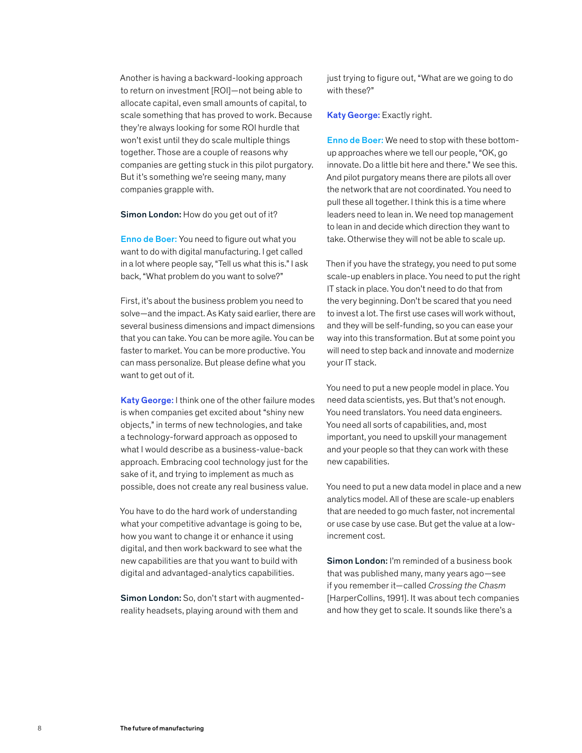Another is having a backward-looking approach to return on investment [ROI]—not being able to allocate capital, even small amounts of capital, to scale something that has proved to work. Because they're always looking for some ROI hurdle that won't exist until they do scale multiple things together. Those are a couple of reasons why companies are getting stuck in this pilot purgatory. But it's something we're seeing many, many companies grapple with.

Simon London: How do you get out of it?

Enno de Boer: You need to figure out what you want to do with digital manufacturing. I get called in a lot where people say, "Tell us what this is." I ask back, "What problem do you want to solve?"

First, it's about the business problem you need to solve—and the impact. As Katy said earlier, there are several business dimensions and impact dimensions that you can take. You can be more agile. You can be faster to market. You can be more productive. You can mass personalize. But please define what you want to get out of it.

Katy George: I think one of the other failure modes is when companies get excited about "shiny new objects," in terms of new technologies, and take a technology-forward approach as opposed to what I would describe as a business-value-back approach. Embracing cool technology just for the sake of it, and trying to implement as much as possible, does not create any real business value.

You have to do the hard work of understanding what your competitive advantage is going to be, how you want to change it or enhance it using digital, and then work backward to see what the new capabilities are that you want to build with digital and advantaged-analytics capabilities.

Simon London: So, don't start with augmentedreality headsets, playing around with them and

just trying to figure out, "What are we going to do with these?"

#### Katy George: Exactly right.

Enno de Boer: We need to stop with these bottomup approaches where we tell our people, "OK, go innovate. Do a little bit here and there." We see this. And pilot purgatory means there are pilots all over the network that are not coordinated. You need to pull these all together. I think this is a time where leaders need to lean in. We need top management to lean in and decide which direction they want to take. Otherwise they will not be able to scale up.

Then if you have the strategy, you need to put some scale-up enablers in place. You need to put the right IT stack in place. You don't need to do that from the very beginning. Don't be scared that you need to invest a lot. The first use cases will work without, and they will be self-funding, so you can ease your way into this transformation. But at some point you will need to step back and innovate and modernize your IT stack.

You need to put a new people model in place. You need data scientists, yes. But that's not enough. You need translators. You need data engineers. You need all sorts of capabilities, and, most important, you need to upskill your management and your people so that they can work with these new capabilities.

You need to put a new data model in place and a new analytics model. All of these are scale-up enablers that are needed to go much faster, not incremental or use case by use case. But get the value at a lowincrement cost.

Simon London: I'm reminded of a business book that was published many, many years ago—see if you remember it—called *Crossing the Chasm* [HarperCollins, 1991]. It was about tech companies and how they get to scale. It sounds like there's a